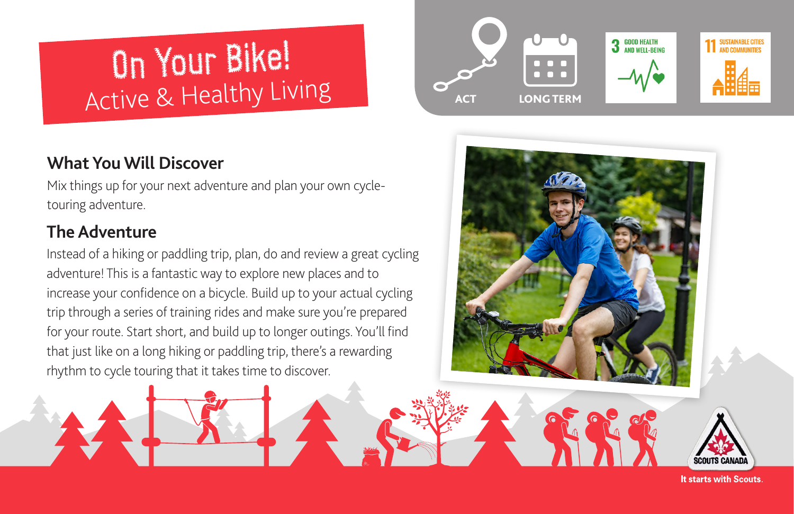# On Your Bike!Active & Healthy Living

# **What You Will Discover**

Mix things up for your next adventure and plan your own cycletouring adventure.

# **The Adventure**

Instead of a hiking or paddling trip, plan, do and review a great cycling adventure! This is a fantastic way to explore new places and to increase your confidence on a bicycle. Build up to your actual cycling trip through a series of training rides and make sure you're prepared for your route. Start short, and build up to longer outings. You'll find that just like on a long hiking or paddling trip, there's a rewarding rhythm to cycle touring that it takes time to discover.





**It starts with Scouts.**